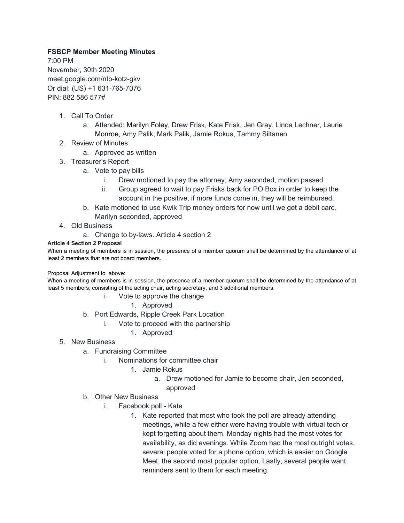## **FSBCP Member Meeting Minutes**

7:00 PM November, 30th 2020 meet.google.com/ntb-kotz-gkv Or dial: (US) +1 631-765-7076 PIN: 882 586 577#

- 1. Call To Order
	- a. Attended: Marilyn Foley, Drew Frisk, Kate Frisk, Jen Gray, Linda Lechner, Laurie Monroe, Amy Palik, Mark Palik, Jamie Rokus, Tammy Siltanen
- 2. Review of Minutes
	- a. Approved as written
- 3. Treasurer's Report
	- a. Vote to pay bills
		- i. Drew motioned to pay the attorney, Amy seconded, motion passed
		- ii. Group agreed to wait to pay Frisks back for PO Box in order to keep the account in the positive, if more funds come in, they will be reimbursed.
	- b. Kate motioned to use Kwik Trip money orders for now until we get a debit card, Marilyn seconded, approved
- 4. Old Business
	- a. Change to by-laws. Article 4 section 2

## **Article 4 Section 2 Proposal**

When a meeting of members is in session, the presence of a member quorum shall be determined by the attendance of at least 2 members that are not board members.

## Proposal Adjustment to above:

When a meeting of members is in session, the presence of a member quorum shall be determined by the attendance of at least 5 members; consisting of the acting chair, acting secretary, and 3 additional members.

- i. Vote to approve the change
	- 1. Approved
- b. Port Edwards, Ripple Creek Park Location
	- i. Vote to proceed with the partnership
		- 1. Approved
- 5. New Business
	- a. Fundraising Committee
		- i. Nominations for committee chair
			- 1. Jamie Rokus
				- a. Drew motioned for Jamie to become chair, Jen seconded, approved
	- b. Other New Business
		- i. Facebook poll Kate
			- 1. Kate reported that most who took the poll are already attending meetings, while a few either were having trouble with virtual tech or kept forgetting about them. Monday nights had the most votes for availability, as did evenings. While Zoom had the most outright votes, several people voted for a phone option, which is easier on Google Meet, the second most popular option. Lastly, several people want reminders sent to them for each meeting.